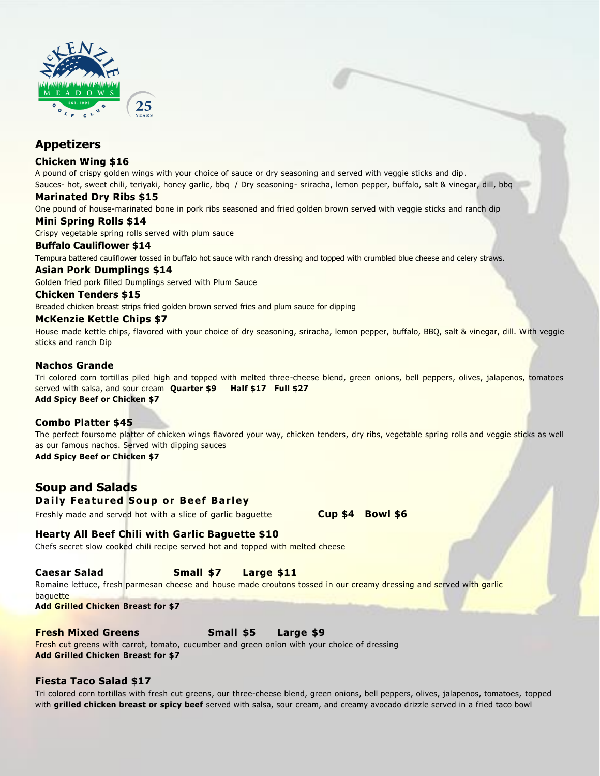

# **Appetizers**

### **Chicken Wing \$16**

A pound of crispy golden wings with your choice of sauce or dry seasoning and served with veggie sticks and dip . Sauces- hot, sweet chili, teriyaki, honey garlic, bbq / Dry seasoning- sriracha, lemon pepper, buffalo, salt & vinegar, dill, bbq

### **Marinated Dry Ribs \$15**

One pound of house-marinated bone in pork ribs seasoned and fried golden brown served with veggie sticks and ranch dip

### **Mini Spring Rolls \$14**

Crispy vegetable spring rolls served with plum sauce

### **Buffalo Cauliflower \$14**

Tempura battered cauliflower tossed in buffalo hot sauce with ranch dressing and topped with crumbled blue cheese and celery straws.

# **Asian Pork Dumplings \$14**

Golden fried pork filled Dumplings served with Plum Sauce

### **Chicken Tenders \$15**

Breaded chicken breast strips fried golden brown served fries and plum sauce for dipping

# **McKenzie Kettle Chips \$7**

House made kettle chips, flavored with your choice of dry seasoning, sriracha, lemon pepper, buffalo, BBQ, salt & vinegar, dill. With veggie sticks and ranch Dip

### **Nachos Grande**

Tri colored corn tortillas piled high and topped with melted three-cheese blend, green onions, bell peppers, olives, jalapenos, tomatoes served with salsa, and sour cream **Quarter \$9 Half \$17 Full \$27 Add Spicy Beef or Chicken \$7**

# **Combo Platter \$45**

The perfect foursome platter of chicken wings flavored your way, chicken tenders, dry ribs, vegetable spring rolls and veggie sticks as well as our famous nachos. Served with dipping sauces **Add Spicy Beef or Chicken \$7**

# **Soup and Salads**

# **Daily Featured Soup or Beef Barley**

Freshly made and served hot with a slice of garlic baguette **Cup \$4 Bowl \$6**

# **Hearty All Beef Chili with Garlic Baguette \$10**

Chefs secret slow cooked chili recipe served hot and topped with melted cheese

# **Caesar Salad Small \$7 Large \$11**

Romaine lettuce, fresh parmesan cheese and house made croutons tossed in our creamy dressing and served with garlic baguette

**Add Grilled Chicken Breast for \$7**

### **Fresh Mixed Greens Small \$5 Large \$9**

Fresh cut greens with carrot, tomato, cucumber and green onion with your choice of dressing **Add Grilled Chicken Breast for \$7**

# **Fiesta Taco Salad \$17**

Tri colored corn tortillas with fresh cut greens, our three-cheese blend, green onions, bell peppers, olives, jalapenos, tomatoes, topped with **grilled chicken breast or spicy beef** served with salsa, sour cream, and creamy avocado drizzle served in a fried taco bowl